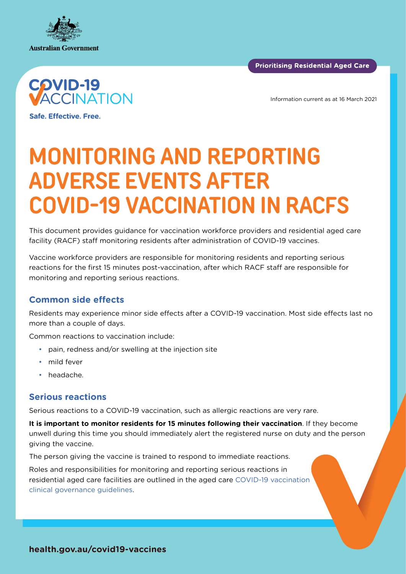

**Prioritising Residential Aged Care** 



Information current as at 16 March 2021

**Safe. Effective. Free.** 

# **MONITORING AND REPORTING ADVERSE EVENTS AFTER COVID-19 VACCINATION IN RACFS**

This document provides guidance for vaccination workforce providers and residential aged care facility (RACF) staff monitoring residents after administration of COVID-19 vaccines.

Vaccine workforce providers are responsible for monitoring residents and reporting serious reactions for the first 15 minutes post-vaccination, after which RACF staff are responsible for monitoring and reporting serious reactions.

# **Common side effects**

Residents may experience minor side effects after a COVID-19 vaccination. Most side effects last no more than a couple of days.

Common reactions to vaccination include:

- pain, redness and/or swelling at the injection site
- mild fever
- headache.

#### **Serious reactions**

Serious reactions to a COVID-19 vaccination, such as allergic reactions are very rare.

**It is important to monitor residents for 15 minutes following their vaccination**. If they become unwell during this time you should immediately alert the registered nurse on duty and the person giving the vaccine.

The person giving the vaccine is trained to respond to immediate reactions.

Roles and responsibilities for monitoring and reporting serious reactions in residential aged care facilities are outlined in the aged care [COVID-19 vaccination](https://www.health.gov.au/resources/publications/covid-19-vaccination-clinical-governance-requirements-for-covid-19-vaccination-in-residential-aged-care)  [clinical governance guidelines](https://www.health.gov.au/resources/publications/covid-19-vaccination-clinical-governance-requirements-for-covid-19-vaccination-in-residential-aged-care).

**health.gov.au/covid19-vaccines**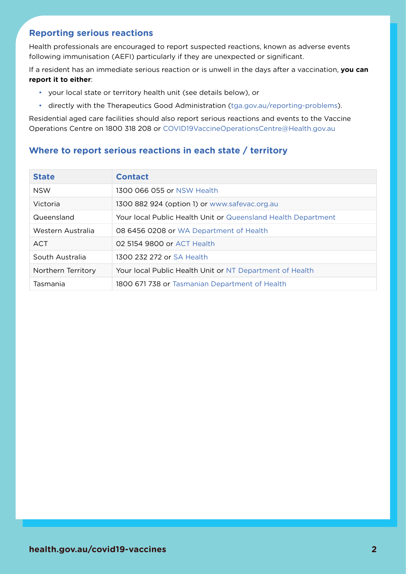# **Reporting serious reactions**

Health professionals are encouraged to report suspected reactions, known as adverse events following immunisation (AEFI) particularly if they are unexpected or significant.

If a resident has an immediate serious reaction or is unwell in the days after a vaccination, **you can report it to either**:

- your local state or territory health unit (see details below), or
- directly with the Therapeutics Good Administration ([tga.gov.au/reporting-problems](http://www.tga.gov.au/reporting-problems)).

Residential aged care facilities should also report serious reactions and events to the Vaccine Operations Centre on 1800 318 208 or [COVID19VaccineOperationsCentre@Health.gov.au](mailto:COVID19VaccineOperationsCentre%40Health.gov.au?subject=)

## **Where to report serious reactions in each state / territory**

| <b>State</b>       | <b>Contact</b>                                                |
|--------------------|---------------------------------------------------------------|
| <b>NSW</b>         | 1300 066 055 or NSW Health                                    |
| Victoria           | 1300 882 924 (option 1) or www.safevac.org.au                 |
| Queensland         | Your local Public Health Unit or Queensland Health Department |
| Western Australia  | 08 6456 0208 or WA Department of Health                       |
| ACT                | 02 5154 9800 or ACT Health                                    |
| South Australia    | 1300 232 272 or SA Health                                     |
| Northern Territory | Your local Public Health Unit or NT Department of Health      |
| Tasmania           | 1800 671 738 or Tasmanian Department of Health                |